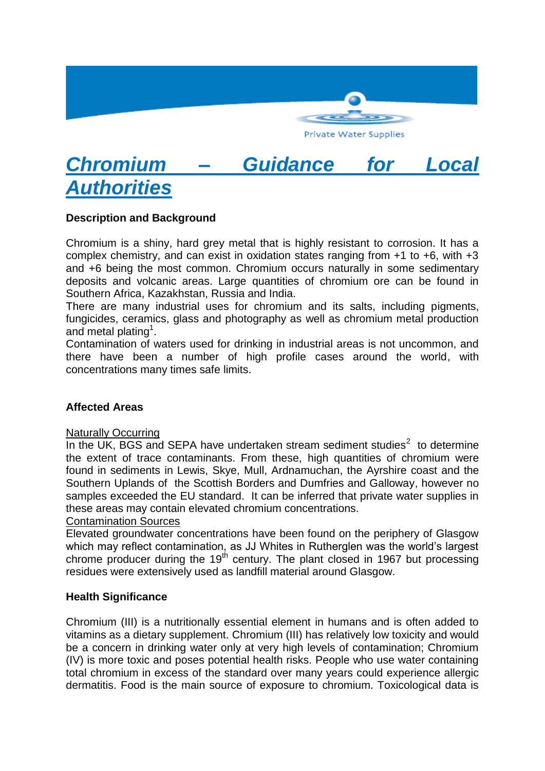

# *Chromium – Guidance for Local Authorities*

# **Description and Background**

Chromium is a shiny, hard grey metal that is highly resistant to corrosion. It has a complex chemistry, and can exist in oxidation states ranging from +1 to +6, with +3 and +6 being the most common. Chromium occurs naturally in some sedimentary deposits and volcanic areas. Large quantities of chromium ore can be found in Southern Africa, Kazakhstan, Russia and India.

There are many industrial uses for chromium and its salts, including pigments, fungicides, ceramics, glass and photography as well as chromium metal production and metal plating<sup>1</sup>.

Contamination of waters used for drinking in industrial areas is not uncommon, and there have been a number of high profile cases around the world, with concentrations many times safe limits.

## **Affected Areas**

#### Naturally Occurring

In the UK, BGS and SEPA have undertaken stream sediment studies $2$  to determine the extent of trace contaminants. From these, high quantities of chromium were found in sediments in Lewis, Skye, Mull, Ardnamuchan, the Ayrshire coast and the Southern Uplands of the Scottish Borders and Dumfries and Galloway, however no samples exceeded the EU standard. It can be inferred that private water supplies in these areas may contain elevated chromium concentrations.

## Contamination Sources

Elevated groundwater concentrations have been found on the periphery of Glasgow which may reflect contamination, as JJ Whites in Rutherglen was the world's largest chrome producer during the  $19<sup>th</sup>$  century. The plant closed in 1967 but processing residues were extensively used as landfill material around Glasgow.

## **Health Significance**

Chromium (III) is a nutritionally essential element in humans and is often added to vitamins as a dietary supplement. Chromium (III) has relatively low toxicity and would be a concern in drinking water only at very high levels of contamination; Chromium (IV) is more toxic and poses potential health risks. People who use water containing total chromium in excess of the standard over many years could experience allergic dermatitis. Food is the main source of exposure to chromium. Toxicological data is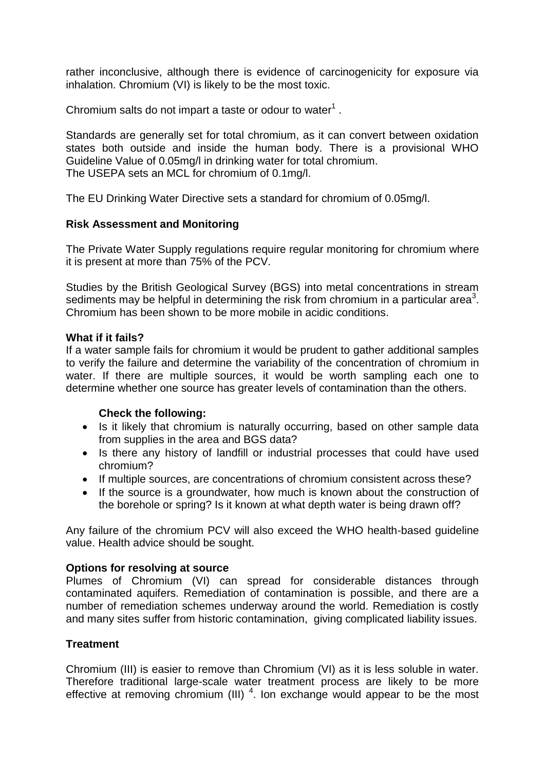rather inconclusive, although there is evidence of carcinogenicity for exposure via inhalation. Chromium (VI) is likely to be the most toxic.

Chromium salts do not impart a taste or odour to water $<sup>1</sup>$ .</sup>

Standards are generally set for total chromium, as it can convert between oxidation states both outside and inside the human body. There is a provisional WHO Guideline Value of 0.05mg/l in drinking water for total chromium. The USEPA sets an MCL for chromium of 0.1mg/l.

The EU Drinking Water Directive sets a standard for chromium of 0.05mg/l.

## **Risk Assessment and Monitoring**

The Private Water Supply regulations require regular monitoring for chromium where it is present at more than 75% of the PCV.

Studies by the British Geological Survey (BGS) into metal concentrations in stream sediments may be helpful in determining the risk from chromium in a particular area<sup>3</sup>. Chromium has been shown to be more mobile in acidic conditions.

#### **What if it fails?**

If a water sample fails for chromium it would be prudent to gather additional samples to verify the failure and determine the variability of the concentration of chromium in water. If there are multiple sources, it would be worth sampling each one to determine whether one source has greater levels of contamination than the others.

#### **Check the following:**

- Is it likely that chromium is naturally occurring, based on other sample data from supplies in the area and BGS data?
- Is there any history of landfill or industrial processes that could have used chromium?
- If multiple sources, are concentrations of chromium consistent across these?
- If the source is a groundwater, how much is known about the construction of the borehole or spring? Is it known at what depth water is being drawn off?

Any failure of the chromium PCV will also exceed the WHO health-based guideline value. Health advice should be sought.

## **Options for resolving at source**

Plumes of Chromium (VI) can spread for considerable distances through contaminated aquifers. Remediation of contamination is possible, and there are a number of remediation schemes underway around the world. Remediation is costly and many sites suffer from historic contamination, giving complicated liability issues.

#### **Treatment**

Chromium (III) is easier to remove than Chromium (VI) as it is less soluble in water. Therefore traditional large-scale water treatment process are likely to be more effective at removing chromium (III)  $<sup>4</sup>$ . Ion exchange would appear to be the most</sup>